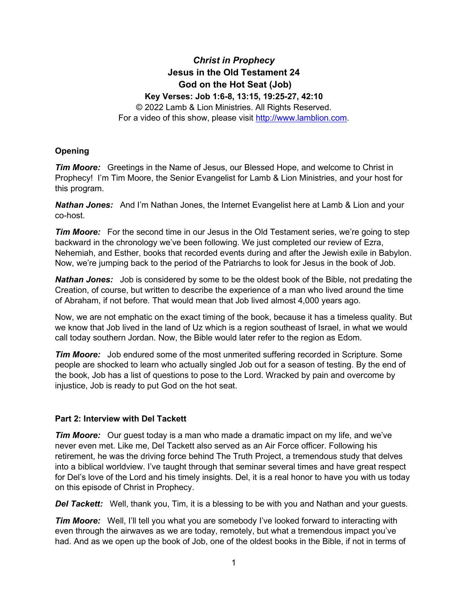# *Christ in Prophecy* **Jesus in the Old Testament 24 God on the Hot Seat (Job) Key Verses: Job 1:6-8, 13:15, 19:25-27, 42:10**

© 2022 Lamb & Lion Ministries. All Rights Reserved. For a video of this show, please visit [http://www.lamblion.com.](http://www.lamblion.com/)

# **Opening**

*Tim Moore:* Greetings in the Name of Jesus, our Blessed Hope, and welcome to Christ in Prophecy! I'm Tim Moore, the Senior Evangelist for Lamb & Lion Ministries, and your host for this program.

*Nathan Jones:* And I'm Nathan Jones, the Internet Evangelist here at Lamb & Lion and your co-host.

*Tim Moore:* For the second time in our Jesus in the Old Testament series, we're going to step backward in the chronology we've been following. We just completed our review of Ezra, Nehemiah, and Esther, books that recorded events during and after the Jewish exile in Babylon. Now, we're jumping back to the period of the Patriarchs to look for Jesus in the book of Job.

*Nathan Jones:* Job is considered by some to be the oldest book of the Bible, not predating the Creation, of course, but written to describe the experience of a man who lived around the time of Abraham, if not before. That would mean that Job lived almost 4,000 years ago.

Now, we are not emphatic on the exact timing of the book, because it has a timeless quality. But we know that Job lived in the land of Uz which is a region southeast of Israel, in what we would call today southern Jordan. Now, the Bible would later refer to the region as Edom.

*Tim Moore:* Job endured some of the most unmerited suffering recorded in Scripture. Some people are shocked to learn who actually singled Job out for a season of testing. By the end of the book, Job has a list of questions to pose to the Lord. Wracked by pain and overcome by injustice, Job is ready to put God on the hot seat.

# **Part 2: Interview with Del Tackett**

*Tim Moore:* Our guest today is a man who made a dramatic impact on my life, and we've never even met. Like me, Del Tackett also served as an Air Force officer. Following his retirement, he was the driving force behind The Truth Project, a tremendous study that delves into a biblical worldview. I've taught through that seminar several times and have great respect for Del's love of the Lord and his timely insights. Del, it is a real honor to have you with us today on this episode of Christ in Prophecy.

**Del Tackett:** Well, thank you, Tim, it is a blessing to be with you and Nathan and your guests.

**Tim Moore:** Well, I'll tell you what you are somebody I've looked forward to interacting with even through the airwaves as we are today, remotely, but what a tremendous impact you've had. And as we open up the book of Job, one of the oldest books in the Bible, if not in terms of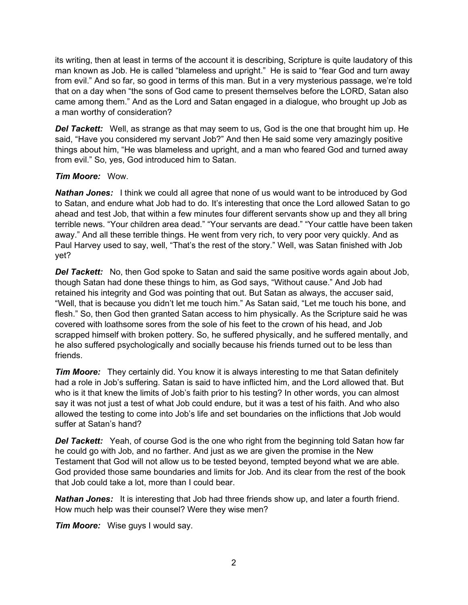its writing, then at least in terms of the account it is describing, Scripture is quite laudatory of this man known as Job. He is called "blameless and upright." He is said to "fear God and turn away from evil." And so far, so good in terms of this man. But in a very mysterious passage, we're told that on a day when "the sons of God came to present themselves before the LORD, Satan also came among them." And as the Lord and Satan engaged in a dialogue, who brought up Job as a man worthy of consideration?

*Del Tackett:* Well, as strange as that may seem to us, God is the one that brought him up. He said, "Have you considered my servant Job?" And then He said some very amazingly positive things about him, "He was blameless and upright, and a man who feared God and turned away from evil." So, yes, God introduced him to Satan.

### *Tim Moore:* Wow.

**Nathan Jones:** I think we could all agree that none of us would want to be introduced by God to Satan, and endure what Job had to do. It's interesting that once the Lord allowed Satan to go ahead and test Job, that within a few minutes four different servants show up and they all bring terrible news. "Your children area dead." "Your servants are dead." "Your cattle have been taken away." And all these terrible things. He went from very rich, to very poor very quickly. And as Paul Harvey used to say, well, "That's the rest of the story." Well, was Satan finished with Job yet?

**Del Tackett:** No, then God spoke to Satan and said the same positive words again about Job, though Satan had done these things to him, as God says, "Without cause." And Job had retained his integrity and God was pointing that out. But Satan as always, the accuser said, "Well, that is because you didn't let me touch him." As Satan said, "Let me touch his bone, and flesh." So, then God then granted Satan access to him physically. As the Scripture said he was covered with loathsome sores from the sole of his feet to the crown of his head, and Job scrapped himself with broken pottery. So, he suffered physically, and he suffered mentally, and he also suffered psychologically and socially because his friends turned out to be less than friends.

*Tim Moore:* They certainly did. You know it is always interesting to me that Satan definitely had a role in Job's suffering. Satan is said to have inflicted him, and the Lord allowed that. But who is it that knew the limits of Job's faith prior to his testing? In other words, you can almost say it was not just a test of what Job could endure, but it was a test of his faith. And who also allowed the testing to come into Job's life and set boundaries on the inflictions that Job would suffer at Satan's hand?

**Del Tackett:** Yeah, of course God is the one who right from the beginning told Satan how far he could go with Job, and no farther. And just as we are given the promise in the New Testament that God will not allow us to be tested beyond, tempted beyond what we are able. God provided those same boundaries and limits for Job. And its clear from the rest of the book that Job could take a lot, more than I could bear.

*Nathan Jones:* It is interesting that Job had three friends show up, and later a fourth friend. How much help was their counsel? Were they wise men?

*Tim Moore:* Wise guys I would say.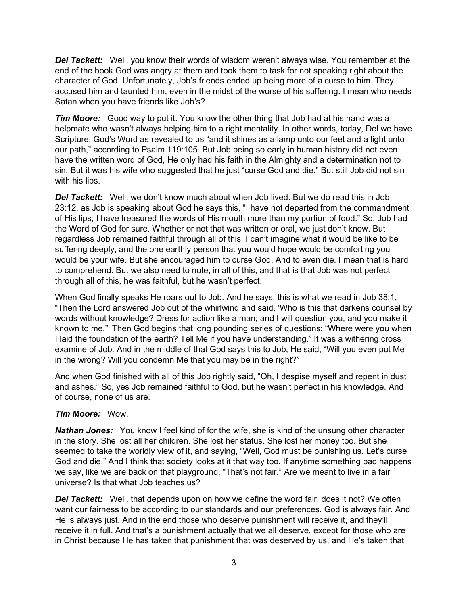*Del Tackett:* Well, you know their words of wisdom weren't always wise. You remember at the end of the book God was angry at them and took them to task for not speaking right about the character of God. Unfortunately, Job's friends ended up being more of a curse to him. They accused him and taunted him, even in the midst of the worse of his suffering. I mean who needs Satan when you have friends like Job's?

*Tim Moore:* Good way to put it. You know the other thing that Job had at his hand was a helpmate who wasn't always helping him to a right mentality. In other words, today, Del we have Scripture, God's Word as revealed to us "and it shines as a lamp unto our feet and a light unto our path," according to Psalm 119:105. But Job being so early in human history did not even have the written word of God, He only had his faith in the Almighty and a determination not to sin. But it was his wife who suggested that he just "curse God and die." But still Job did not sin with his lips.

*Del Tackett:* Well, we don't know much about when Job lived. But we do read this in Job 23:12, as Job is speaking about God he says this, "I have not departed from the commandment of His lips; I have treasured the words of His mouth more than my portion of food." So, Job had the Word of God for sure. Whether or not that was written or oral, we just don't know. But regardless Job remained faithful through all of this. I can't imagine what it would be like to be suffering deeply, and the one earthly person that you would hope would be comforting you would be your wife. But she encouraged him to curse God. And to even die. I mean that is hard to comprehend. But we also need to note, in all of this, and that is that Job was not perfect through all of this, he was faithful, but he wasn't perfect.

When God finally speaks He roars out to Job. And he says, this is what we read in Job 38:1, "Then the Lord answered Job out of the whirlwind and said, 'Who is this that darkens counsel by words without knowledge? Dress for action like a man; and I will question you, and you make it known to me.'" Then God begins that long pounding series of questions: "Where were you when I laid the foundation of the earth? Tell Me if you have understanding." It was a withering cross examine of Job. And in the middle of that God says this to Job, He said, "Will you even put Me in the wrong? Will you condemn Me that you may be in the right?"

And when God finished with all of this Job rightly said, "Oh, I despise myself and repent in dust and ashes." So, yes Job remained faithful to God, but he wasn't perfect in his knowledge. And of course, none of us are.

### *Tim Moore:* Wow.

*Nathan Jones:* You know I feel kind of for the wife, she is kind of the unsung other character in the story. She lost all her children. She lost her status. She lost her money too. But she seemed to take the worldly view of it, and saying, "Well, God must be punishing us. Let's curse God and die." And I think that society looks at it that way too. If anytime something bad happens we say, like we are back on that playground, "That's not fair." Are we meant to live in a fair universe? Is that what Job teaches us?

**Del Tackett:** Well, that depends upon on how we define the word fair, does it not? We often want our fairness to be according to our standards and our preferences. God is always fair. And He is always just. And in the end those who deserve punishment will receive it, and they'll receive it in full. And that's a punishment actually that we all deserve, except for those who are in Christ because He has taken that punishment that was deserved by us, and He's taken that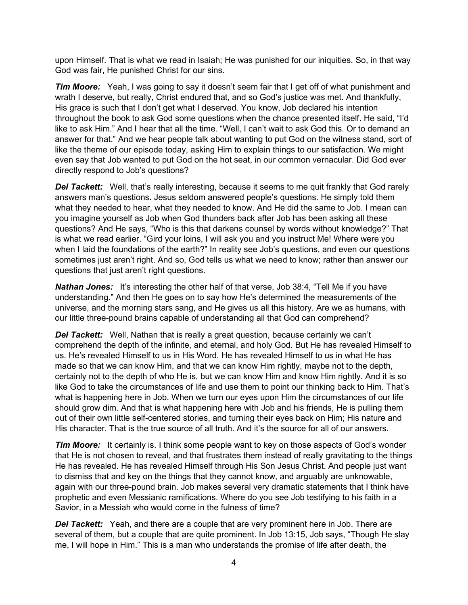upon Himself. That is what we read in Isaiah; He was punished for our iniquities. So, in that way God was fair, He punished Christ for our sins.

**Tim Moore:** Yeah, I was going to say it doesn't seem fair that I get off of what punishment and wrath I deserve, but really, Christ endured that, and so God's justice was met. And thankfully, His grace is such that I don't get what I deserved. You know, Job declared his intention throughout the book to ask God some questions when the chance presented itself. He said, "I'd like to ask Him." And I hear that all the time. "Well, I can't wait to ask God this. Or to demand an answer for that." And we hear people talk about wanting to put God on the witness stand, sort of like the theme of our episode today, asking Him to explain things to our satisfaction. We might even say that Job wanted to put God on the hot seat, in our common vernacular. Did God ever directly respond to Job's questions?

**Del Tackett:** Well, that's really interesting, because it seems to me quit frankly that God rarely answers man's questions. Jesus seldom answered people's questions. He simply told them what they needed to hear, what they needed to know. And He did the same to Job. I mean can you imagine yourself as Job when God thunders back after Job has been asking all these questions? And He says, "Who is this that darkens counsel by words without knowledge?" That is what we read earlier. "Gird your loins, I will ask you and you instruct Me! Where were you when I laid the foundations of the earth?" In reality see Job's questions, and even our questions sometimes just aren't right. And so, God tells us what we need to know; rather than answer our questions that just aren't right questions.

**Nathan Jones:** It's interesting the other half of that verse, Job 38:4, "Tell Me if you have understanding." And then He goes on to say how He's determined the measurements of the universe, and the morning stars sang, and He gives us all this history. Are we as humans, with our little three-pound brains capable of understanding all that God can comprehend?

*Del Tackett:* Well, Nathan that is really a great question, because certainly we can't comprehend the depth of the infinite, and eternal, and holy God. But He has revealed Himself to us. He's revealed Himself to us in His Word. He has revealed Himself to us in what He has made so that we can know Him, and that we can know Him rightly, maybe not to the depth, certainly not to the depth of who He is, but we can know Him and know Him rightly. And it is so like God to take the circumstances of life and use them to point our thinking back to Him. That's what is happening here in Job. When we turn our eyes upon Him the circumstances of our life should grow dim. And that is what happening here with Job and his friends, He is pulling them out of their own little self-centered stories, and turning their eyes back on Him; His nature and His character. That is the true source of all truth. And it's the source for all of our answers.

*Tim Moore:* It certainly is. I think some people want to key on those aspects of God's wonder that He is not chosen to reveal, and that frustrates them instead of really gravitating to the things He has revealed. He has revealed Himself through His Son Jesus Christ. And people just want to dismiss that and key on the things that they cannot know, and arguably are unknowable, again with our three-pound brain. Job makes several very dramatic statements that I think have prophetic and even Messianic ramifications. Where do you see Job testifying to his faith in a Savior, in a Messiah who would come in the fulness of time?

*Del Tackett:* Yeah, and there are a couple that are very prominent here in Job. There are several of them, but a couple that are quite prominent. In Job 13:15, Job says, "Though He slay me, I will hope in Him." This is a man who understands the promise of life after death, the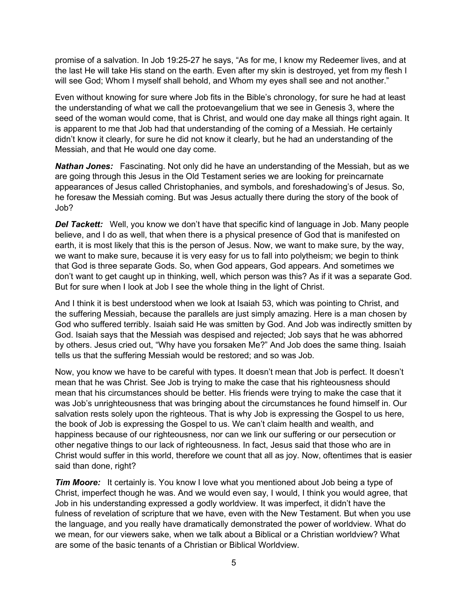promise of a salvation. In Job 19:25-27 he says, "As for me, I know my Redeemer lives, and at the last He will take His stand on the earth. Even after my skin is destroyed, yet from my flesh I will see God; Whom I myself shall behold, and Whom my eyes shall see and not another."

Even without knowing for sure where Job fits in the Bible's chronology, for sure he had at least the understanding of what we call the protoevangelium that we see in Genesis 3, where the seed of the woman would come, that is Christ, and would one day make all things right again. It is apparent to me that Job had that understanding of the coming of a Messiah. He certainly didn't know it clearly, for sure he did not know it clearly, but he had an understanding of the Messiah, and that He would one day come.

*Nathan Jones:* Fascinating. Not only did he have an understanding of the Messiah, but as we are going through this Jesus in the Old Testament series we are looking for preincarnate appearances of Jesus called Christophanies, and symbols, and foreshadowing's of Jesus. So, he foresaw the Messiah coming. But was Jesus actually there during the story of the book of Job?

*Del Tackett:* Well, you know we don't have that specific kind of language in Job. Many people believe, and I do as well, that when there is a physical presence of God that is manifested on earth, it is most likely that this is the person of Jesus. Now, we want to make sure, by the way, we want to make sure, because it is very easy for us to fall into polytheism; we begin to think that God is three separate Gods. So, when God appears, God appears. And sometimes we don't want to get caught up in thinking, well, which person was this? As if it was a separate God. But for sure when I look at Job I see the whole thing in the light of Christ.

And I think it is best understood when we look at Isaiah 53, which was pointing to Christ, and the suffering Messiah, because the parallels are just simply amazing. Here is a man chosen by God who suffered terribly. Isaiah said He was smitten by God. And Job was indirectly smitten by God. Isaiah says that the Messiah was despised and rejected; Job says that he was abhorred by others. Jesus cried out, "Why have you forsaken Me?" And Job does the same thing. Isaiah tells us that the suffering Messiah would be restored; and so was Job.

Now, you know we have to be careful with types. It doesn't mean that Job is perfect. It doesn't mean that he was Christ. See Job is trying to make the case that his righteousness should mean that his circumstances should be better. His friends were trying to make the case that it was Job's unrighteousness that was bringing about the circumstances he found himself in. Our salvation rests solely upon the righteous. That is why Job is expressing the Gospel to us here, the book of Job is expressing the Gospel to us. We can't claim health and wealth, and happiness because of our righteousness, nor can we link our suffering or our persecution or other negative things to our lack of righteousness. In fact, Jesus said that those who are in Christ would suffer in this world, therefore we count that all as joy. Now, oftentimes that is easier said than done, right?

*Tim Moore:* It certainly is. You know I love what you mentioned about Job being a type of Christ, imperfect though he was. And we would even say, I would, I think you would agree, that Job in his understanding expressed a godly worldview. It was imperfect, it didn't have the fulness of revelation of scripture that we have, even with the New Testament. But when you use the language, and you really have dramatically demonstrated the power of worldview. What do we mean, for our viewers sake, when we talk about a Biblical or a Christian worldview? What are some of the basic tenants of a Christian or Biblical Worldview.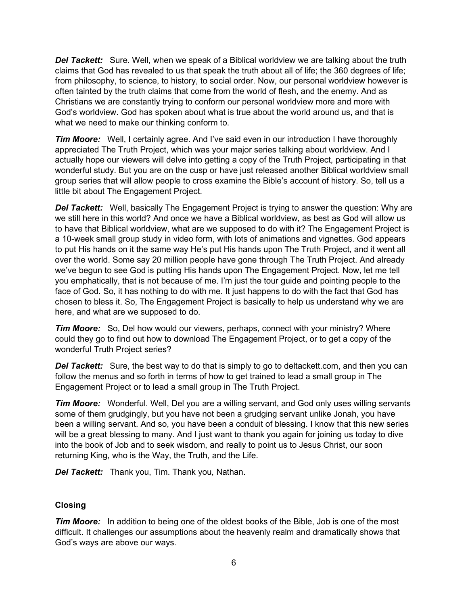*Del Tackett:* Sure. Well, when we speak of a Biblical worldview we are talking about the truth claims that God has revealed to us that speak the truth about all of life; the 360 degrees of life; from philosophy, to science, to history, to social order. Now, our personal worldview however is often tainted by the truth claims that come from the world of flesh, and the enemy. And as Christians we are constantly trying to conform our personal worldview more and more with God's worldview. God has spoken about what is true about the world around us, and that is what we need to make our thinking conform to.

*Tim Moore:* Well, I certainly agree. And I've said even in our introduction I have thoroughly appreciated The Truth Project, which was your major series talking about worldview. And I actually hope our viewers will delve into getting a copy of the Truth Project, participating in that wonderful study. But you are on the cusp or have just released another Biblical worldview small group series that will allow people to cross examine the Bible's account of history. So, tell us a little bit about The Engagement Project.

*Del Tackett:* Well, basically The Engagement Project is trying to answer the question: Why are we still here in this world? And once we have a Biblical worldview, as best as God will allow us to have that Biblical worldview, what are we supposed to do with it? The Engagement Project is a 10-week small group study in video form, with lots of animations and vignettes. God appears to put His hands on it the same way He's put His hands upon The Truth Project, and it went all over the world. Some say 20 million people have gone through The Truth Project. And already we've begun to see God is putting His hands upon The Engagement Project. Now, let me tell you emphatically, that is not because of me. I'm just the tour guide and pointing people to the face of God. So, it has nothing to do with me. It just happens to do with the fact that God has chosen to bless it. So, The Engagement Project is basically to help us understand why we are here, and what are we supposed to do.

*Tim Moore:* So, Del how would our viewers, perhaps, connect with your ministry? Where could they go to find out how to download The Engagement Project, or to get a copy of the wonderful Truth Project series?

**Del Tackett:** Sure, the best way to do that is simply to go to deltackett.com, and then you can follow the menus and so forth in terms of how to get trained to lead a small group in The Engagement Project or to lead a small group in The Truth Project.

**Tim Moore:** Wonderful. Well, Del you are a willing servant, and God only uses willing servants some of them grudgingly, but you have not been a grudging servant unlike Jonah, you have been a willing servant. And so, you have been a conduit of blessing. I know that this new series will be a great blessing to many. And I just want to thank you again for joining us today to dive into the book of Job and to seek wisdom, and really to point us to Jesus Christ, our soon returning King, who is the Way, the Truth, and the Life.

*Del Tackett:* Thank you, Tim. Thank you, Nathan.

### **Closing**

*Tim Moore:* In addition to being one of the oldest books of the Bible, Job is one of the most difficult. It challenges our assumptions about the heavenly realm and dramatically shows that God's ways are above our ways.